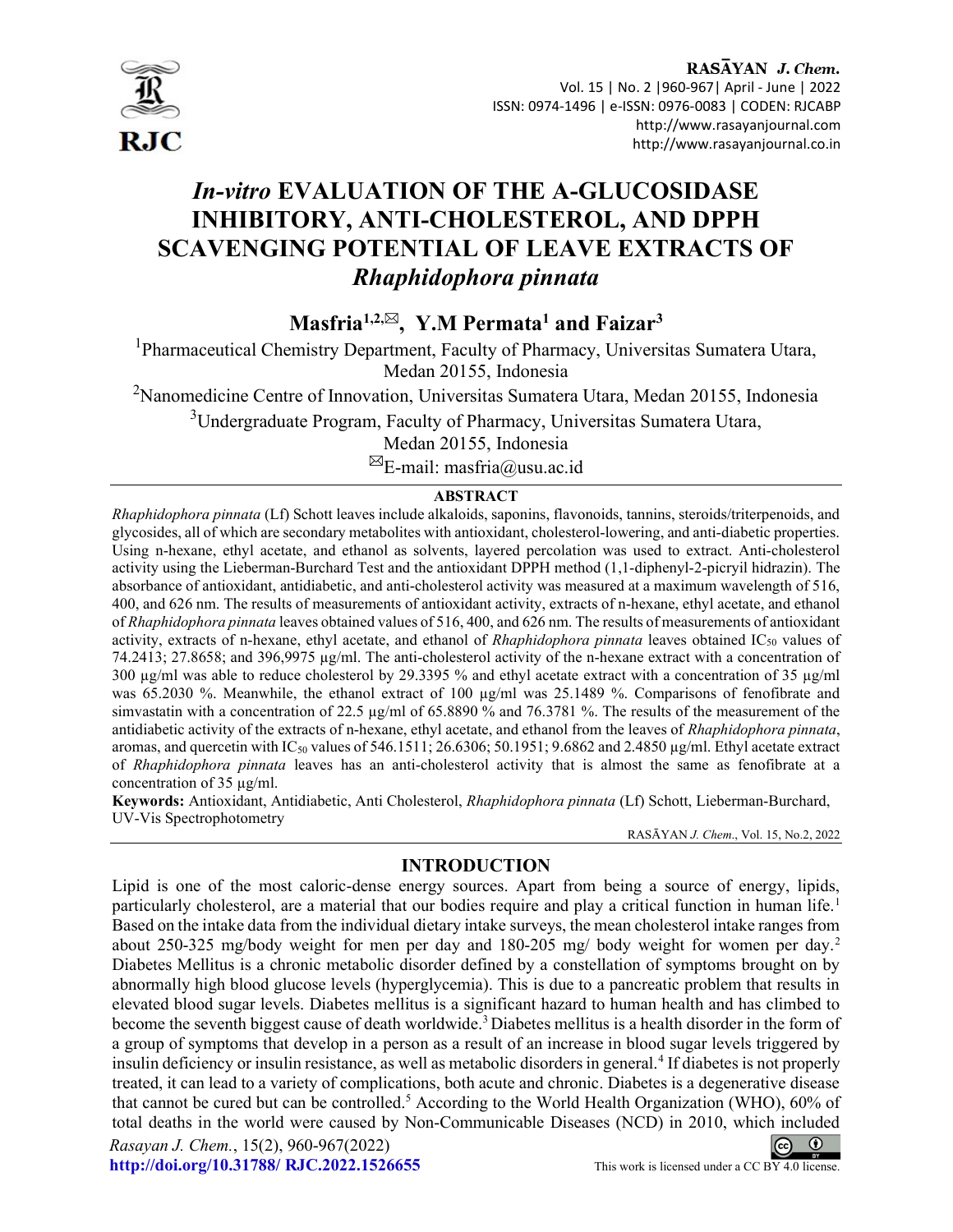

I

RASAYAN J. Chem. Vol. 15 | No. 2 |960-967| April - June | 2022 ISSN: 0974-1496 | e-ISSN: 0976-0083 | CODEN: RJCABP http://www.rasayanjournal.com http://www.rasayanjournal.co.in

# In-vitro EVALUATION OF THE Α-GLUCOSIDASE INHIBITORY, ANTI-CHOLESTEROL, AND DPPH SCAVENGING POTENTIAL OF LEAVE EXTRACTS OF Rhaphidophora pinnata

Masfria<sup>1,2, $\boxtimes$ </sup>, Y.M Permata<sup>1</sup> and Faizar<sup>3</sup>

<sup>1</sup>Pharmaceutical Chemistry Department, Faculty of Pharmacy, Universitas Sumatera Utara, Medan 20155, Indonesia

<sup>2</sup>Nanomedicine Centre of Innovation, Universitas Sumatera Utara, Medan 20155, Indonesia

<sup>3</sup>Undergraduate Program, Faculty of Pharmacy, Universitas Sumatera Utara,

Medan 20155, Indonesia

 $^{\boxtimes}$ E-mail: masfria@usu.ac.id

## ABSTRACT

Rhaphidophora pinnata (Lf) Schott leaves include alkaloids, saponins, flavonoids, tannins, steroids/triterpenoids, and glycosides, all of which are secondary metabolites with antioxidant, cholesterol-lowering, and anti-diabetic properties. Using n-hexane, ethyl acetate, and ethanol as solvents, layered percolation was used to extract. Anti-cholesterol activity using the Lieberman-Burchard Test and the antioxidant DPPH method (1,1-diphenyl-2-picryil hidrazin). The absorbance of antioxidant, antidiabetic, and anti-cholesterol activity was measured at a maximum wavelength of 516, 400, and 626 nm. The results of measurements of antioxidant activity, extracts of n-hexane, ethyl acetate, and ethanol of Rhaphidophora pinnata leaves obtained values of 516, 400, and 626 nm. The results of measurements of antioxidant activity, extracts of n-hexane, ethyl acetate, and ethanol of Rhaphidophora pinnata leaves obtained  $IC_{50}$  values of 74.2413; 27.8658; and 396,9975 µg/ml. The anti-cholesterol activity of the n-hexane extract with a concentration of 300 µg/ml was able to reduce cholesterol by 29.3395 % and ethyl acetate extract with a concentration of 35 µg/ml was 65.2030 %. Meanwhile, the ethanol extract of 100 µg/ml was 25.1489 %. Comparisons of fenofibrate and simvastatin with a concentration of 22.5 µg/ml of 65.8890 % and 76.3781 %. The results of the measurement of the antidiabetic activity of the extracts of n-hexane, ethyl acetate, and ethanol from the leaves of Rhaphidophora pinnata, aromas, and quercetin with IC<sub>50</sub> values of 546.1511; 26.6306; 50.1951; 9.6862 and 2.4850 µg/ml. Ethyl acetate extract of Rhaphidophora pinnata leaves has an anti-cholesterol activity that is almost the same as fenofibrate at a concentration of 35 µg/ml.

Keywords: Antioxidant, Antidiabetic, Anti Cholesterol, Rhaphidophora pinnata (Lf) Schott, Lieberman-Burchard, UV-Vis Spectrophotometry

RASĀYAN J. Chem., Vol. 15, No.2, 2022

# INTRODUCTION

Lipid is one of the most caloric-dense energy sources. Apart from being a source of energy, lipids, particularly cholesterol, are a material that our bodies require and play a critical function in human life.<sup>1</sup> Based on the intake data from the individual dietary intake surveys, the mean cholesterol intake ranges from about 250-325 mg/body weight for men per day and 180-205 mg/ body weight for women per day.<sup>2</sup> Diabetes Mellitus is a chronic metabolic disorder defined by a constellation of symptoms brought on by abnormally high blood glucose levels (hyperglycemia). This is due to a pancreatic problem that results in elevated blood sugar levels. Diabetes mellitus is a significant hazard to human health and has climbed to become the seventh biggest cause of death worldwide.<sup>3</sup>Diabetes mellitus is a health disorder in the form of a group of symptoms that develop in a person as a result of an increase in blood sugar levels triggered by insulin deficiency or insulin resistance, as well as metabolic disorders in general.<sup>4</sup> If diabetes is not properly treated, it can lead to a variety of complications, both acute and chronic. Diabetes is a degenerative disease that cannot be cured but can be controlled.<sup>5</sup> According to the World Health Organization (WHO), 60% of total deaths in the world were caused by Non-Communicable Diseases (NCD) in 2010, which included Rasayan J. Chem., 15(2), 960-967(2022)  $\omega$  $\left( \infty \right)$ 

http://doi.org/10.31788/  $RJC.2022.1526655$  This work is licensed under a CC BY 4.0 license.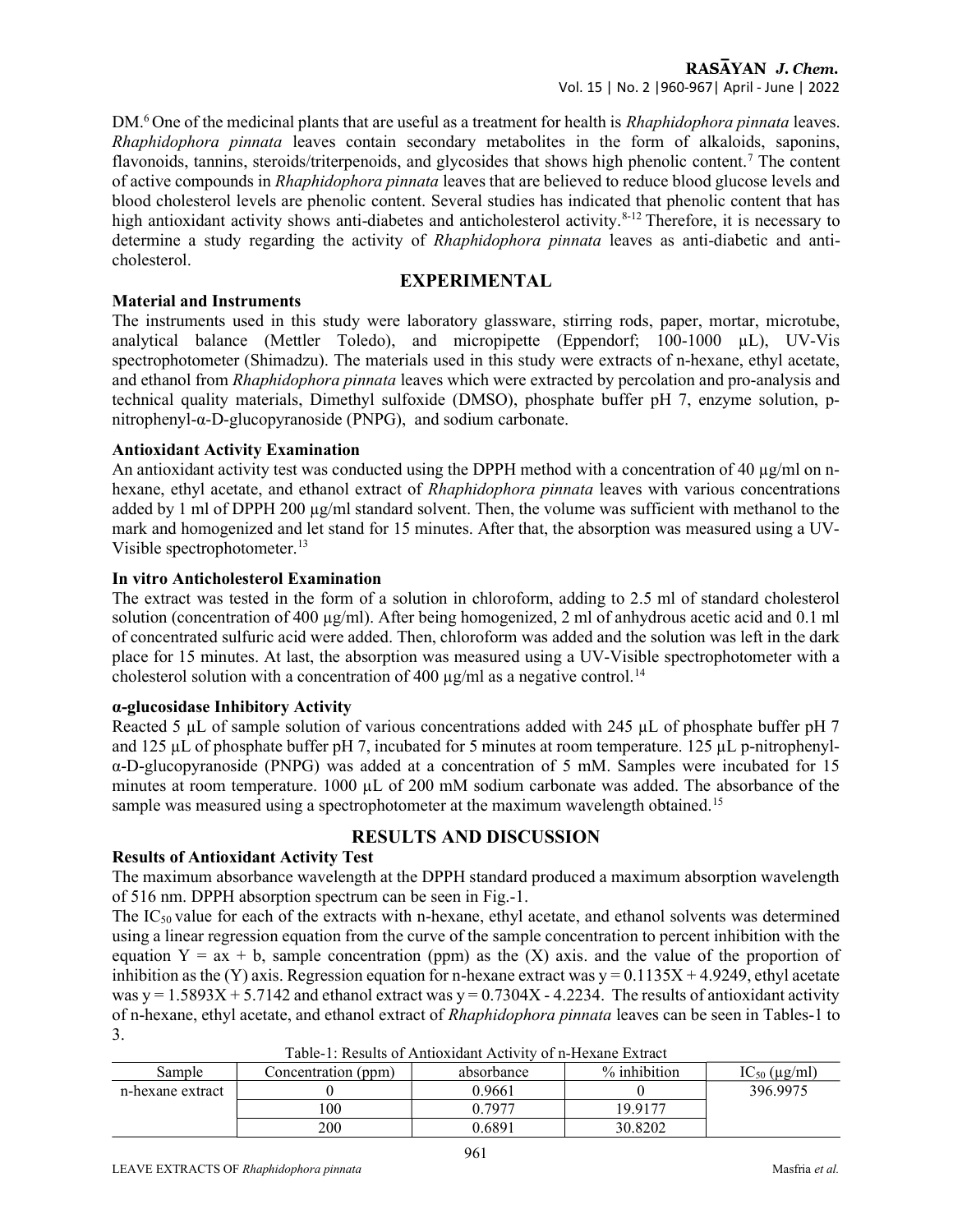DM.<sup>6</sup> One of the medicinal plants that are useful as a treatment for health is *Rhaphidophora pinnata* leaves. Rhaphidophora pinnata leaves contain secondary metabolites in the form of alkaloids, saponins, flavonoids, tannins, steroids/triterpenoids, and glycosides that shows high phenolic content.<sup>7</sup> The content of active compounds in Rhaphidophora pinnata leaves that are believed to reduce blood glucose levels and blood cholesterol levels are phenolic content. Several studies has indicated that phenolic content that has high antioxidant activity shows anti-diabetes and anticholesterol activity.<sup>8-12</sup> Therefore, it is necessary to determine a study regarding the activity of Rhaphidophora pinnata leaves as anti-diabetic and anticholesterol.

# EXPERIMENTAL

## Material and Instruments

The instruments used in this study were laboratory glassware, stirring rods, paper, mortar, microtube, analytical balance (Mettler Toledo), and micropipette (Eppendorf; 100-1000 µL), UV-Vis spectrophotometer (Shimadzu). The materials used in this study were extracts of n-hexane, ethyl acetate, and ethanol from Rhaphidophora pinnata leaves which were extracted by percolation and pro-analysis and technical quality materials, Dimethyl sulfoxide (DMSO), phosphate buffer pH 7, enzyme solution, pnitrophenyl-α-D-glucopyranoside (PNPG), and sodium carbonate.

## Antioxidant Activity Examination

An antioxidant activity test was conducted using the DPPH method with a concentration of 40  $\mu$ g/ml on nhexane, ethyl acetate, and ethanol extract of *Rhaphidophora pinnata* leaves with various concentrations added by 1 ml of DPPH 200 µg/ml standard solvent. Then, the volume was sufficient with methanol to the mark and homogenized and let stand for 15 minutes. After that, the absorption was measured using a UV-Visible spectrophotometer.<sup>13</sup>

### In vitro Anticholesterol Examination

The extract was tested in the form of a solution in chloroform, adding to 2.5 ml of standard cholesterol solution (concentration of 400  $\mu$ g/ml). After being homogenized, 2 ml of anhydrous acetic acid and 0.1 ml of concentrated sulfuric acid were added. Then, chloroform was added and the solution was left in the dark place for 15 minutes. At last, the absorption was measured using a UV-Visible spectrophotometer with a cholesterol solution with a concentration of 400  $\mu$ g/ml as a negative control.<sup>14</sup>

## α-glucosidase Inhibitory Activity

Reacted 5 µL of sample solution of various concentrations added with 245 µL of phosphate buffer pH 7 and 125 µL of phosphate buffer pH 7, incubated for 5 minutes at room temperature. 125 µL p-nitrophenylα-D-glucopyranoside (PNPG) was added at a concentration of 5 mM. Samples were incubated for 15 minutes at room temperature. 1000 µL of 200 mM sodium carbonate was added. The absorbance of the sample was measured using a spectrophotometer at the maximum wavelength obtained.<sup>15</sup>

# RESULTS AND DISCUSSION

### Results of Antioxidant Activity Test

The maximum absorbance wavelength at the DPPH standard produced a maximum absorption wavelength of 516 nm. DPPH absorption spectrum can be seen in Fig.-1.

The IC<sub>50</sub> value for each of the extracts with n-hexane, ethyl acetate, and ethanol solvents was determined using a linear regression equation from the curve of the sample concentration to percent inhibition with the equation  $Y = ax + b$ , sample concentration (ppm) as the (X) axis. and the value of the proportion of inhibition as the (Y) axis. Regression equation for n-hexane extract was  $y = 0.1135X + 4.9249$ , ethyl acetate was y =  $1.5893X + 5.7142$  and ethanol extract was y =  $0.7304X - 4.2234$ . The results of antioxidant activity of n-hexane, ethyl acetate, and ethanol extract of Rhaphidophora pinnata leaves can be seen in Tables-1 to 3.

| Sample           | Concentration (ppm) | absorbance | $%$ inhibition | $IC_{50}$ ( $\mu$ g/ml) |
|------------------|---------------------|------------|----------------|-------------------------|
| n-hexane extract |                     | 0.9661     |                | 396.9975                |
|                  | 100                 | በ 7977     | 199177         |                         |
|                  | 200                 | 0.6891     | 30.8202        |                         |

Table-1: Results of Antioxidant Activity of n-Hexane Extract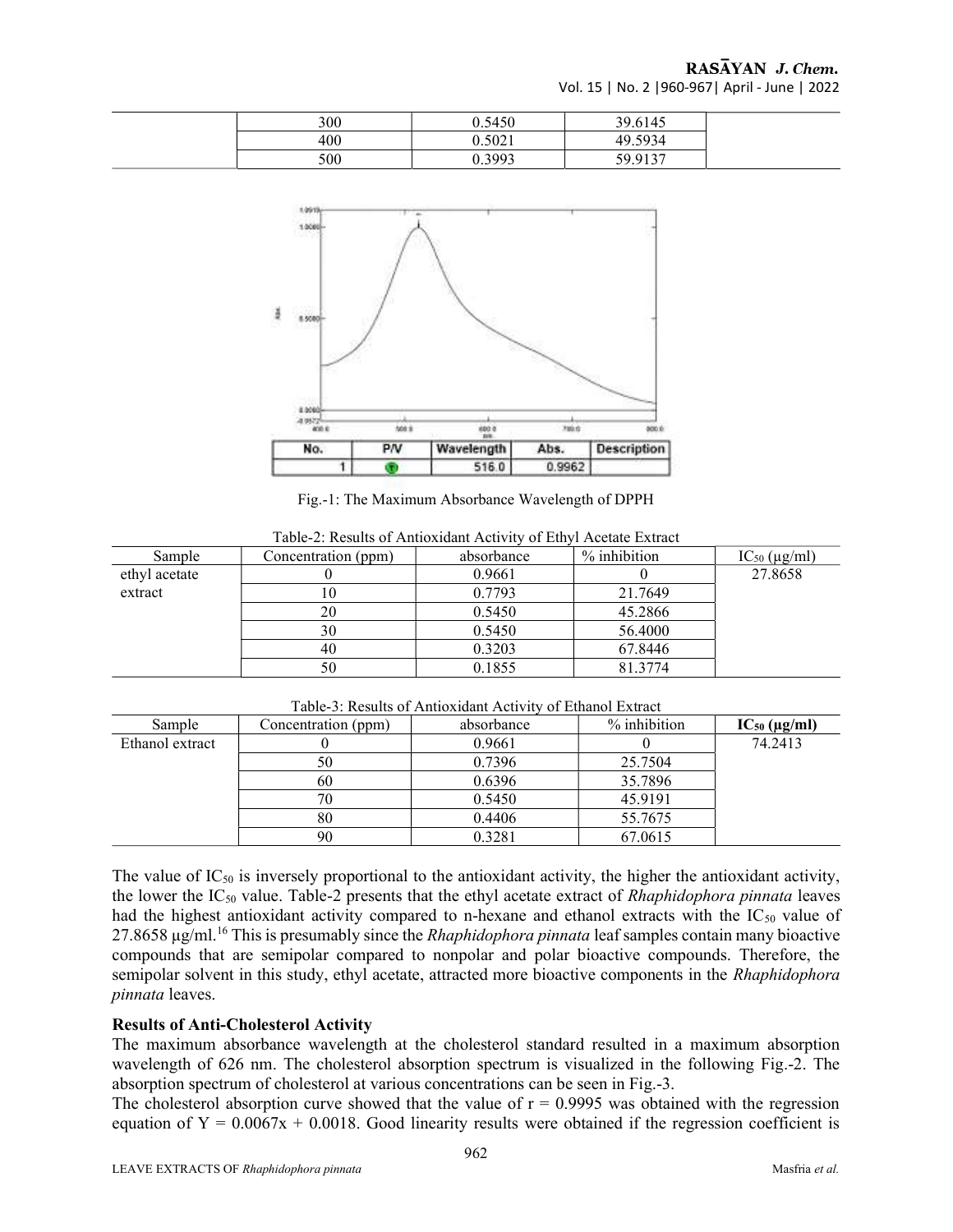# RASAYAN J. Chem.

Vol. 15 | No. 2 |960-967| April - June | 2022

| 300 | .5450  | 39.6145         |
|-----|--------|-----------------|
| 400 | 0.5021 | 49.5934         |
| 500 | 3993   | 50 01 37<br>⊥ ⊃ |



Fig.-1: The Maximum Absorbance Wavelength of DPPH

| Sample        | Concentration (ppm) | absorbance | % inhibition | $IC_{50}$ (µg/ml) |
|---------------|---------------------|------------|--------------|-------------------|
| ethyl acetate |                     | 0.9661     |              | 27.8658           |
| extract       | 10                  | 0.7793     | 21.7649      |                   |
|               | 20                  | 0.5450     | 45.2866      |                   |
|               | 30                  | 0.5450     | 56.4000      |                   |
|               | 40                  | 0.3203     | 67.8446      |                   |
|               | 50                  | 0.1855     | 81.3774      |                   |

Table-2: Results of Antioxidant Activity of Ethyl Acetate Extract

|                 |                     | TWOTA DI TZANGINO OT LIHINIONIKANIN'I IANI III OT TAIMIIOT TANIMAA |              |                         |
|-----------------|---------------------|--------------------------------------------------------------------|--------------|-------------------------|
| Sample          | Concentration (ppm) | absorbance                                                         | % inhibition | $IC_{50}$ ( $\mu$ g/ml) |
| Ethanol extract |                     | 0.9661                                                             |              | 74.2413                 |
|                 | 50                  | 0.7396                                                             | 25.7504      |                         |
|                 | 60                  | 0.6396                                                             | 35.7896      |                         |
|                 |                     | 0.5450                                                             | 45.9191      |                         |
|                 | 80                  | 0.4406                                                             | 55.7675      |                         |
|                 | 90                  | 0.3281                                                             | 67.0615      |                         |

Table-3: Results of Antioxidant Activity of Ethanol Extract

The value of  $IC_{50}$  is inversely proportional to the antioxidant activity, the higher the antioxidant activity, the lower the  $IC_{50}$  value. Table-2 presents that the ethyl acetate extract of *Rhaphidophora pinnata* leaves had the highest antioxidant activity compared to n-hexane and ethanol extracts with the IC<sub>50</sub> value of 27.8658  $\mu$ g/ml.<sup>16</sup> This is presumably since the *Rhaphidophora pinnata* leaf samples contain many bioactive compounds that are semipolar compared to nonpolar and polar bioactive compounds. Therefore, the semipolar solvent in this study, ethyl acetate, attracted more bioactive components in the Rhaphidophora pinnata leaves.

### Results of Anti-Cholesterol Activity

The maximum absorbance wavelength at the cholesterol standard resulted in a maximum absorption wavelength of 626 nm. The cholesterol absorption spectrum is visualized in the following Fig.-2. The absorption spectrum of cholesterol at various concentrations can be seen in Fig.-3.

The cholesterol absorption curve showed that the value of  $r = 0.9995$  was obtained with the regression equation of  $Y = 0.0067x + 0.0018$ . Good linearity results were obtained if the regression coefficient is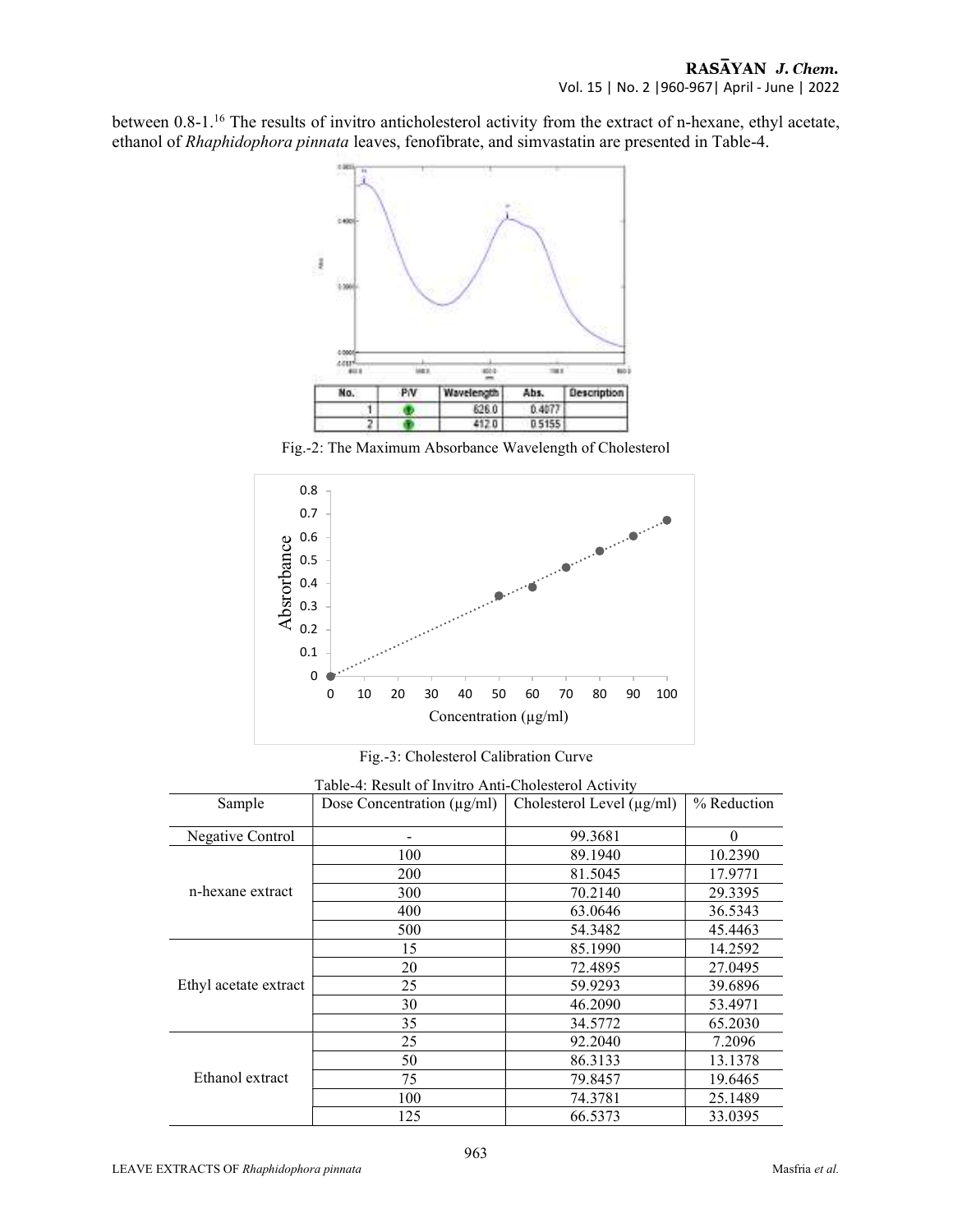between 0.8-1.<sup>16</sup> The results of invitro anticholesterol activity from the extract of n-hexane, ethyl acetate, ethanol of Rhaphidophora pinnata leaves, fenofibrate, and simvastatin are presented in Table-4.



Fig.-2: The Maximum Absorbance Wavelength of Cholesterol



Fig.-3: Cholesterol Calibration Curve

| Sample                | Dose Concentration $(\mu g/ml)$ | Cholesterol Level $(\mu g/ml)$ | % Reduction |
|-----------------------|---------------------------------|--------------------------------|-------------|
| Negative Control      |                                 | 99.3681                        | $\theta$    |
|                       | 100                             | 89.1940                        | 10.2390     |
|                       | 200                             | 81.5045                        | 17.9771     |
| n-hexane extract      | 300                             | 70.2140                        | 29.3395     |
|                       | 400                             | 63.0646                        | 36.5343     |
|                       | 500                             | 54.3482                        | 45.4463     |
|                       | 15                              | 85.1990                        | 14.2592     |
|                       | 20                              | 72.4895                        | 27.0495     |
| Ethyl acetate extract | 25                              | 59.9293                        | 39.6896     |
|                       | 30                              | 46.2090                        | 53.4971     |
|                       | 35                              | 34.5772                        | 65.2030     |
|                       | 25                              | 92.2040                        | 7.2096      |
|                       | 50                              | 86.3133                        | 13.1378     |
| Ethanol extract       | 75                              | 79.8457                        | 19.6465     |
|                       | 100                             | 74.3781                        | 25.1489     |
|                       | 125                             | 66.5373                        | 33.0395     |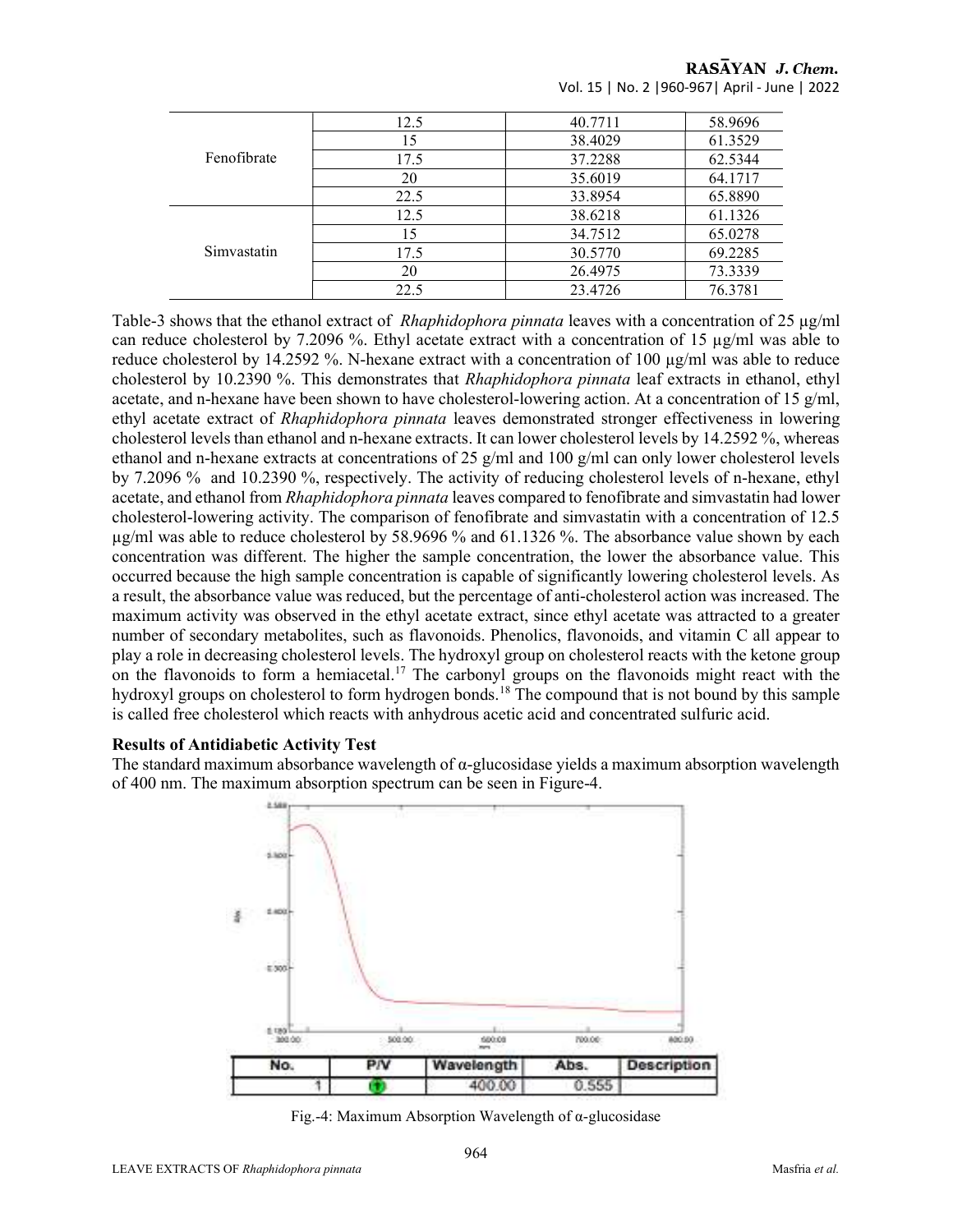# RASAYAN J. Chem.

|             | 12.5 | 40.7711 | 58.9696 |
|-------------|------|---------|---------|
|             | 15   | 38.4029 | 61.3529 |
| Fenofibrate | 17.5 | 37.2288 | 62.5344 |
|             | 20   | 35.6019 | 64.1717 |
|             | 22.5 | 33.8954 | 65.8890 |
|             | 12.5 | 38.6218 | 61.1326 |
|             | 15   | 34.7512 | 65.0278 |
| Simvastatin | 17.5 | 30.5770 | 69.2285 |
|             | 20   | 26.4975 | 73.3339 |
|             | 22.5 | 23.4726 | 76.3781 |

Vol. 15 | No. 2 |960-967| April - June | 2022

Table-3 shows that the ethanol extract of *Rhaphidophora pinnata* leaves with a concentration of 25  $\mu$ g/ml can reduce cholesterol by 7.2096 %. Ethyl acetate extract with a concentration of 15  $\mu$ g/ml was able to reduce cholesterol by 14.2592 %. N-hexane extract with a concentration of 100 µg/ml was able to reduce cholesterol by 10.2390 %. This demonstrates that Rhaphidophora pinnata leaf extracts in ethanol, ethyl acetate, and n-hexane have been shown to have cholesterol-lowering action. At a concentration of 15  $g/ml$ , ethyl acetate extract of Rhaphidophora pinnata leaves demonstrated stronger effectiveness in lowering cholesterol levels than ethanol and n-hexane extracts. It can lower cholesterol levels by 14.2592 %, whereas ethanol and n-hexane extracts at concentrations of 25 g/ml and 100 g/ml can only lower cholesterol levels by 7.2096 % and 10.2390 %, respectively. The activity of reducing cholesterol levels of n-hexane, ethyl acetate, and ethanol from *Rhaphidophora pinnata* leaves compared to fenofibrate and simvastatin had lower cholesterol-lowering activity. The comparison of fenofibrate and simvastatin with a concentration of 12.5 µg/ml was able to reduce cholesterol by 58.9696 % and 61.1326 %. The absorbance value shown by each concentration was different. The higher the sample concentration, the lower the absorbance value. This occurred because the high sample concentration is capable of significantly lowering cholesterol levels. As a result, the absorbance value was reduced, but the percentage of anti-cholesterol action was increased. The maximum activity was observed in the ethyl acetate extract, since ethyl acetate was attracted to a greater number of secondary metabolites, such as flavonoids. Phenolics, flavonoids, and vitamin C all appear to play a role in decreasing cholesterol levels. The hydroxyl group on cholesterol reacts with the ketone group on the flavonoids to form a hemiacetal.<sup>17</sup> The carbonyl groups on the flavonoids might react with the hydroxyl groups on cholesterol to form hydrogen bonds.<sup>18</sup> The compound that is not bound by this sample is called free cholesterol which reacts with anhydrous acetic acid and concentrated sulfuric acid.

### Results of Antidiabetic Activity Test

The standard maximum absorbance wavelength of  $\alpha$ -glucosidase yields a maximum absorption wavelength of 400 nm. The maximum absorption spectrum can be seen in Figure-4.



Fig.-4: Maximum Absorption Wavelength of  $\alpha$ -glucosidase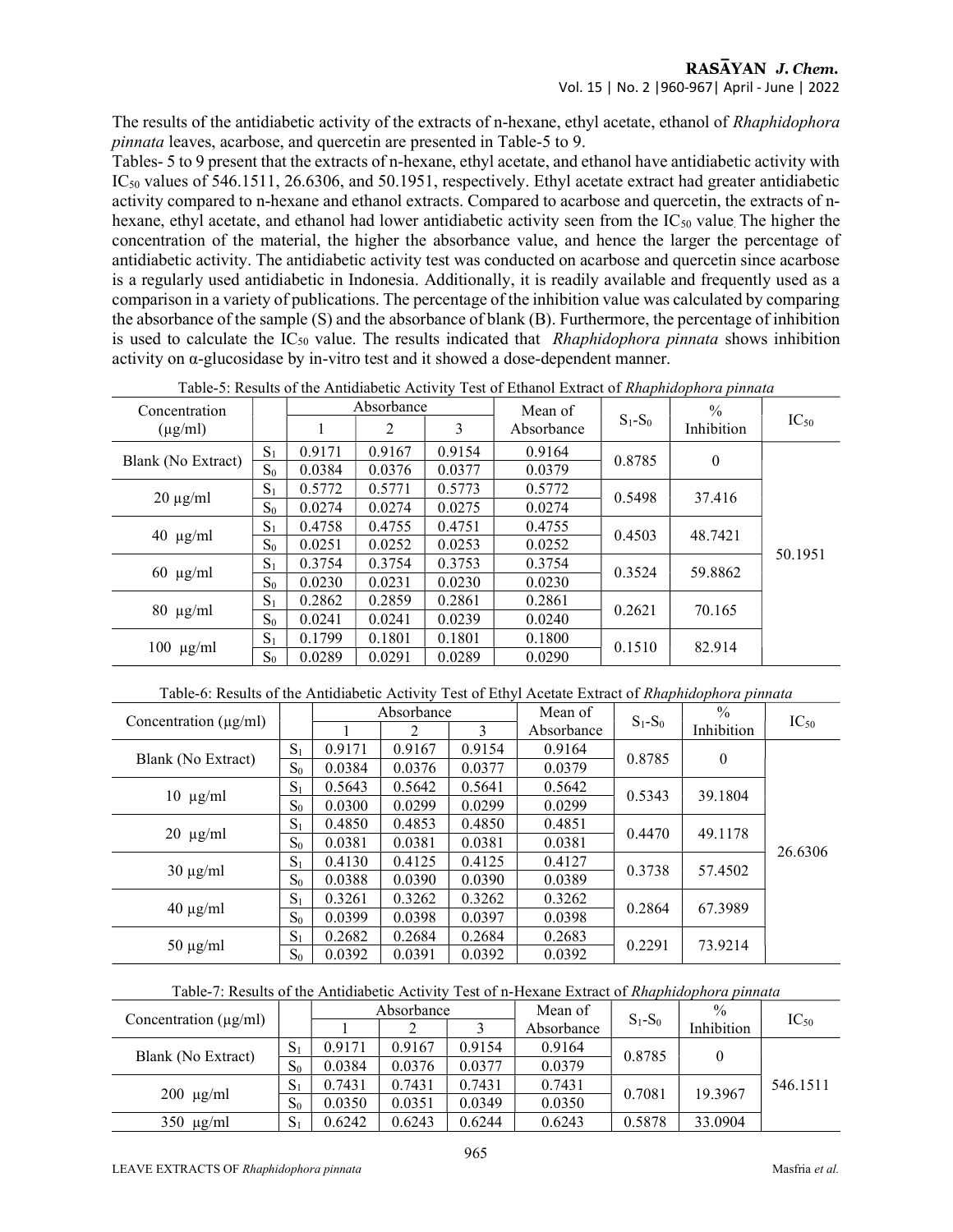The results of the antidiabetic activity of the extracts of n-hexane, ethyl acetate, ethanol of Rhaphidophora pinnata leaves, acarbose, and quercetin are presented in Table-5 to 9.

Tables- 5 to 9 present that the extracts of n-hexane, ethyl acetate, and ethanol have antidiabetic activity with IC<sub>50</sub> values of 546.1511, 26.6306, and 50.1951, respectively. Ethyl acetate extract had greater antidiabetic activity compared to n-hexane and ethanol extracts. Compared to acarbose and quercetin, the extracts of nhexane, ethyl acetate, and ethanol had lower antidiabetic activity seen from the  $IC_{50}$  value. The higher the concentration of the material, the higher the absorbance value, and hence the larger the percentage of antidiabetic activity. The antidiabetic activity test was conducted on acarbose and quercetin since acarbose is a regularly used antidiabetic in Indonesia. Additionally, it is readily available and frequently used as a comparison in a variety of publications. The percentage of the inhibition value was calculated by comparing the absorbance of the sample (S) and the absorbance of blank (B). Furthermore, the percentage of inhibition is used to calculate the  $IC_{50}$  value. The results indicated that *Rhaphidophora pinnata* shows inhibition activity on α-glucosidase by in-vitro test and it showed a dose-dependent manner.

| Concentration<br>$(\mu g/ml)$ |       |        | Absorbance<br>2 | 3      | Mean of<br>Absorbance | $S_1-S_0$ | $\frac{0}{0}$<br>Inhibition | $IC_{50}$ |
|-------------------------------|-------|--------|-----------------|--------|-----------------------|-----------|-----------------------------|-----------|
|                               | $S_1$ | 0.9171 | 0.9167          | 0.9154 | 0.9164                |           |                             |           |
| Blank (No Extract)            | $S_0$ | 0.0384 | 0.0376          | 0.0377 | 0.0379                | 0.8785    | $\boldsymbol{0}$            |           |
|                               | $S_1$ | 0.5772 | 0.5771          | 0.5773 | 0.5772                | 0.5498    | 37.416                      |           |
| $20 \mu g/ml$                 | $S_0$ | 0.0274 | 0.0274          | 0.0275 | 0.0274                |           |                             |           |
| $40 \mu g/ml$                 | $S_1$ | 0.4758 | 0.4755          | 0.4751 | 0.4755                | 0.4503    | 48.7421                     |           |
|                               | $S_0$ | 0.0251 | 0.0252          | 0.0253 | 0.0252                |           |                             | 50.1951   |
|                               | $S_1$ | 0.3754 | 0.3754          | 0.3753 | 0.3754                | 0.3524    | 59.8862                     |           |
| $60 \mu g/ml$                 | $S_0$ | 0.0230 | 0.0231          | 0.0230 | 0.0230                |           |                             |           |
|                               | $S_1$ | 0.2862 | 0.2859          | 0.2861 | 0.2861                | 0.2621    |                             |           |
| $80 \mu g/ml$                 | $S_0$ | 0.0241 | 0.0241          | 0.0239 | 0.0240                |           | 70.165                      |           |
|                               | $S_1$ | 0.1799 | 0.1801          | 0.1801 | 0.1800                | 0.1510    | 82.914                      |           |
| $100 \mu g/ml$                | $S_0$ | 0.0289 | 0.0291          | 0.0289 | 0.0290                |           |                             |           |

Table-5: Results of the Antidiabetic Activity Test of Ethanol Extract of Rhaphidophora pinnata

Table-6: Results of the Antidiabetic Activity Test of Ethyl Acetate Extract of Rhaphidophora pinnata

|                            |                |        | Absorbance    |        | Mean of    |           | $\frac{0}{0}$ | $IC_{50}$ |  |  |  |
|----------------------------|----------------|--------|---------------|--------|------------|-----------|---------------|-----------|--|--|--|
| Concentration $(\mu g/ml)$ |                |        | $\mathcal{L}$ | 3      | Absorbance | $S_1-S_0$ | Inhibition    |           |  |  |  |
|                            | $S_1$          | 0.9171 | 0.9167        | 0.9154 | 0.9164     | 0.8785    | $\mathbf{0}$  |           |  |  |  |
| Blank (No Extract)         | $S_0$          | 0.0384 | 0.0376        | 0.0377 | 0.0379     |           |               |           |  |  |  |
|                            | S <sub>1</sub> | 0.5643 | 0.5642        | 0.5641 | 0.5642     | 0.5343    | 39.1804       |           |  |  |  |
| $10 \mu g/ml$              | $S_0$          | 0.0300 | 0.0299        | 0.0299 | 0.0299     |           |               |           |  |  |  |
|                            | S <sub>1</sub> | 0.4850 | 0.4853        | 0.4850 | 0.4851     | 0.4470    | 49.1178       | 26.6306   |  |  |  |
| $20 \mu g/ml$              | $S_0$          | 0.0381 | 0.0381        | 0.0381 | 0.0381     |           |               |           |  |  |  |
|                            | S <sub>1</sub> | 0.4130 | 0.4125        | 0.4125 | 0.4127     | 0.3738    |               |           |  |  |  |
| $30 \mu g/ml$              | $S_0$          | 0.0388 | 0.0390        | 0.0390 | 0.0389     |           | 57.4502       |           |  |  |  |
|                            | S <sub>1</sub> | 0.3261 | 0.3262        | 0.3262 | 0.3262     | 0.2864    | 67.3989       |           |  |  |  |
| $40 \mu g/ml$              | $S_0$          | 0.0399 | 0.0398        | 0.0397 | 0.0398     |           |               |           |  |  |  |
|                            | $S_1$          | 0.2682 | 0.2684        | 0.2684 | 0.2683     | 0.2291    | 73.9214       |           |  |  |  |
| $50 \mu g/ml$              | $S_0$          | 0.0392 | 0.0391        | 0.0392 | 0.0392     |           |               |           |  |  |  |

#### Table-7: Results of the Antidiabetic Activity Test of n-Hexane Extract of Rhaphidophora pinnata

|                            |              | Absorbance |        | Mean of | $S_1-S_0$  | $\frac{0}{0}$ | $IC_{50}$  |          |  |  |
|----------------------------|--------------|------------|--------|---------|------------|---------------|------------|----------|--|--|
| Concentration $(\mu g/ml)$ |              |            |        |         | Absorbance |               | Inhibition |          |  |  |
|                            | <sub>S</sub> | 0.9171     | 0.9167 | 0.9154  | 0.9164     | 0.8785        |            |          |  |  |
| Blank (No Extract)         | $S_0$        | 0.0384     | 0.0376 | 0.0377  | 0.0379     |               |            |          |  |  |
|                            | <sub>S</sub> | 0.7431     | 0.7431 | 0.7431  | 0.7431     | 0.7081        |            | 546.1511 |  |  |
| $200 \mu g/ml$             | $S_0$        | 0.0350     | 0.0351 | 0.0349  | 0.0350     |               | 19.3967    |          |  |  |
| $350 \mu g/ml$             | S.           | 0.6242     | 0.6243 | 0.6244  | 0.6243     | 0.5878        | 33.0904    |          |  |  |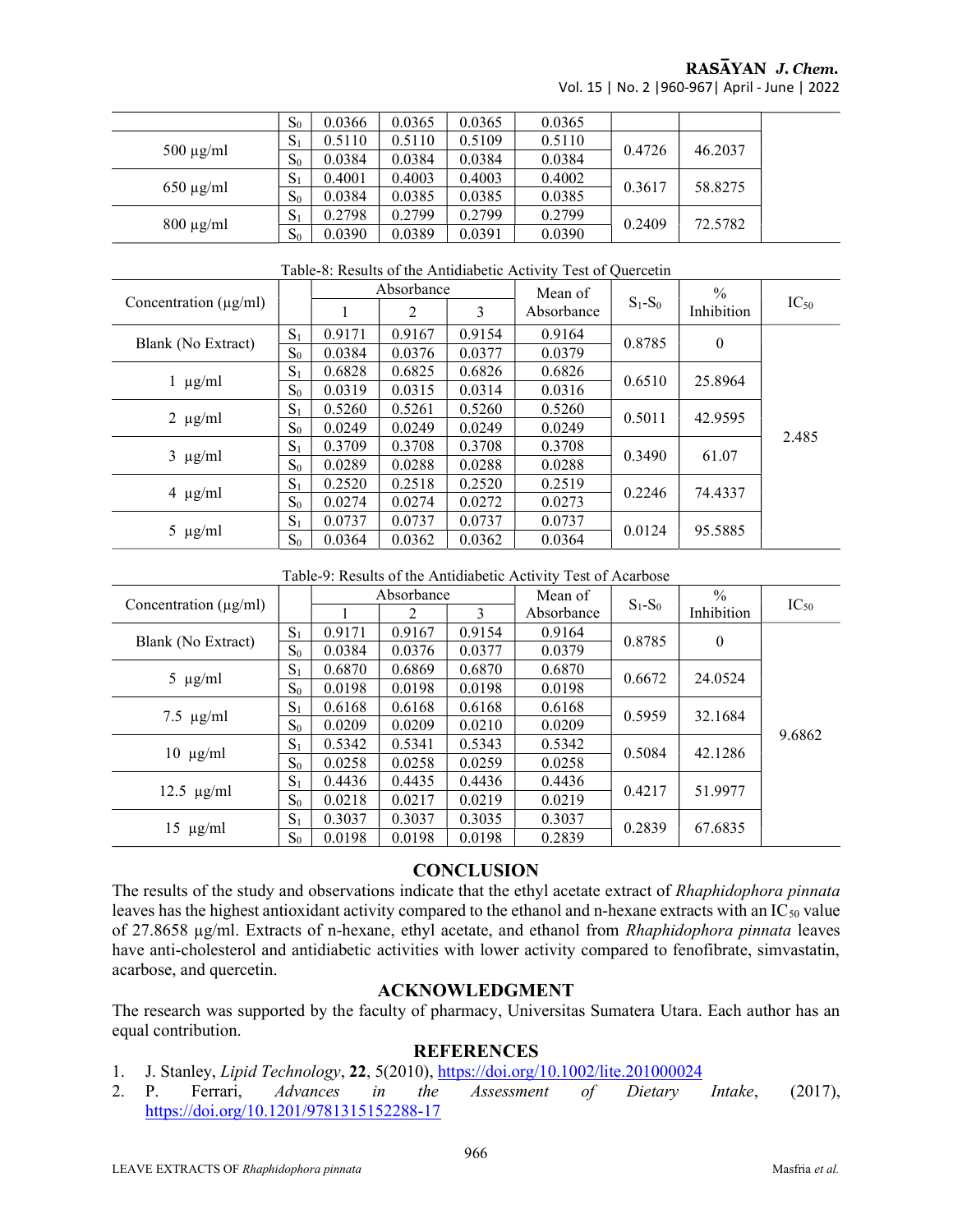# RASAYAN J. Chem.

Vol. 15 | No. 2 |960-967| April - June | 2022

|                | $S_0$   | 0.0366 | 0.0365 | 0.0365 | 0.0365 |        |         |
|----------------|---------|--------|--------|--------|--------|--------|---------|
| $500 \mu g/ml$ | $S_{1}$ | 0.5110 | 0.5110 | 0.5109 | 0.5110 | 0.4726 | 46.2037 |
|                | $S_0$   | 0.0384 | 0.0384 | 0.0384 | 0.0384 |        |         |
|                | S.      | 0.4001 | 0.4003 | 0.4003 | 0.4002 | 0.3617 |         |
| $650 \mu g/ml$ | $S_0$   | 0.0384 | 0.0385 | 0.0385 | 0.0385 |        | 58.8275 |
|                | $S_1$   | 0.2798 | 0.2799 | 0.2799 | 0.2799 | 0.2409 | 72.5782 |
| $800 \mu g/ml$ | $S_0$   | 0.0390 | 0.0389 | 0.0391 | 0.0390 |        |         |

| Table-o. Results of the Annualabetic Activity Test of Ouefcelin |       |        |            |        |            |           |               |           |  |
|-----------------------------------------------------------------|-------|--------|------------|--------|------------|-----------|---------------|-----------|--|
|                                                                 |       |        | Absorbance |        | Mean of    |           | $\frac{0}{0}$ |           |  |
| Concentration $(\mu g/ml)$                                      |       |        | 2          | 3      | Absorbance | $S_1-S_0$ | Inhibition    | $IC_{50}$ |  |
|                                                                 | $S_1$ | 0.9171 | 0.9167     | 0.9154 | 0.9164     | 0.8785    |               |           |  |
| Blank (No Extract)                                              | $S_0$ | 0.0384 | 0.0376     | 0.0377 | 0.0379     |           | $\theta$      |           |  |
|                                                                 | $S_1$ | 0.6828 | 0.6825     | 0.6826 | 0.6826     | 0.6510    | 25.8964       |           |  |
| $\mu$ g/ml                                                      | $S_0$ | 0.0319 | 0.0315     | 0.0314 | 0.0316     |           |               |           |  |
|                                                                 | $S_1$ | 0.5260 | 0.5261     | 0.5260 | 0.5260     | 0.5011    | 42.9595       |           |  |
| $2 \mu g/ml$                                                    | $S_0$ | 0.0249 | 0.0249     | 0.0249 | 0.0249     |           |               | 2.485     |  |
|                                                                 | $S_1$ | 0.3709 | 0.3708     | 0.3708 | 0.3708     | 0.3490    |               |           |  |
| $3 \mu g/ml$                                                    | $S_0$ | 0.0289 | 0.0288     | 0.0288 | 0.0288     |           | 61.07         |           |  |
|                                                                 | $S_1$ | 0.2520 | 0.2518     | 0.2520 | 0.2519     | 0.2246    |               |           |  |
| 4 $\mu$ g/ml                                                    | $S_0$ | 0.0274 | 0.0274     | 0.0272 | 0.0273     |           | 74.4337       |           |  |
|                                                                 | $S_1$ | 0.0737 | 0.0737     | 0.0737 | 0.0737     | 0.0124    |               |           |  |
| $5 \mu g/ml$                                                    | $S_0$ | 0.0364 | 0.0362     | 0.0362 | 0.0364     |           | 95.5885       |           |  |

# Table-8: Results of the Antidiabetic Activity Test of Quercetin

Table-9: Results of the Antidiabetic Activity Test of Acarbose

| Concentration $(\mu g/ml)$ |       | Absorbance |                |        | Mean of    |           | $\frac{0}{0}$ |           |
|----------------------------|-------|------------|----------------|--------|------------|-----------|---------------|-----------|
|                            |       |            | $\mathfrak{D}$ | 3      | Absorbance | $S_1-S_0$ | Inhibition    | $IC_{50}$ |
| Blank (No Extract)         | $S_1$ | 0.9171     | 0.9167         | 0.9154 | 0.9164     | 0.8785    | $\mathbf{0}$  | 9.6862    |
|                            | $S_0$ | 0.0384     | 0.0376         | 0.0377 | 0.0379     |           |               |           |
| $5 \mu g/ml$               | $S_1$ | 0.6870     | 0.6869         | 0.6870 | 0.6870     | 0.6672    | 24.0524       |           |
|                            | $S_0$ | 0.0198     | 0.0198         | 0.0198 | 0.0198     |           |               |           |
| 7.5 $\mu$ g/ml             | $S_1$ | 0.6168     | 0.6168         | 0.6168 | 0.6168     | 0.5959    | 32.1684       |           |
|                            | $S_0$ | 0.0209     | 0.0209         | 0.0210 | 0.0209     |           |               |           |
| $10 \mu g/ml$              | $S_1$ | 0.5342     | 0.5341         | 0.5343 | 0.5342     | 0.5084    | 42.1286       |           |
|                            | $S_0$ | 0.0258     | 0.0258         | 0.0259 | 0.0258     |           |               |           |
| $12.5 \text{ µg/ml}$       | $S_1$ | 0.4436     | 0.4435         | 0.4436 | 0.4436     | 0.4217    | 51.9977       |           |
|                            | $S_0$ | 0.0218     | 0.0217         | 0.0219 | 0.0219     |           |               |           |
| $15 \mu g/ml$              | $S_1$ | 0.3037     | 0.3037         | 0.3035 | 0.3037     | 0.2839    | 67.6835       |           |
|                            | $S_0$ | 0.0198     | 0.0198         | 0.0198 | 0.2839     |           |               |           |

# **CONCLUSION**

The results of the study and observations indicate that the ethyl acetate extract of Rhaphidophora pinnata leaves has the highest antioxidant activity compared to the ethanol and n-hexane extracts with an  $IC_{50}$  value of 27.8658 µg/ml. Extracts of n-hexane, ethyl acetate, and ethanol from Rhaphidophora pinnata leaves have anti-cholesterol and antidiabetic activities with lower activity compared to fenofibrate, simvastatin, acarbose, and quercetin.

## ACKNOWLEDGMENT

The research was supported by the faculty of pharmacy, Universitas Sumatera Utara. Each author has an equal contribution.

# **REFERENCES**

- 1. J. Stanley, Lipid Technology, 22, 5(2010), https://doi.org/10.1002/lite.201000024
- 2. P. Ferrari, Advances in the Assessment of Dietary Intake, (2017), https://doi.org/10.1201/9781315152288-17